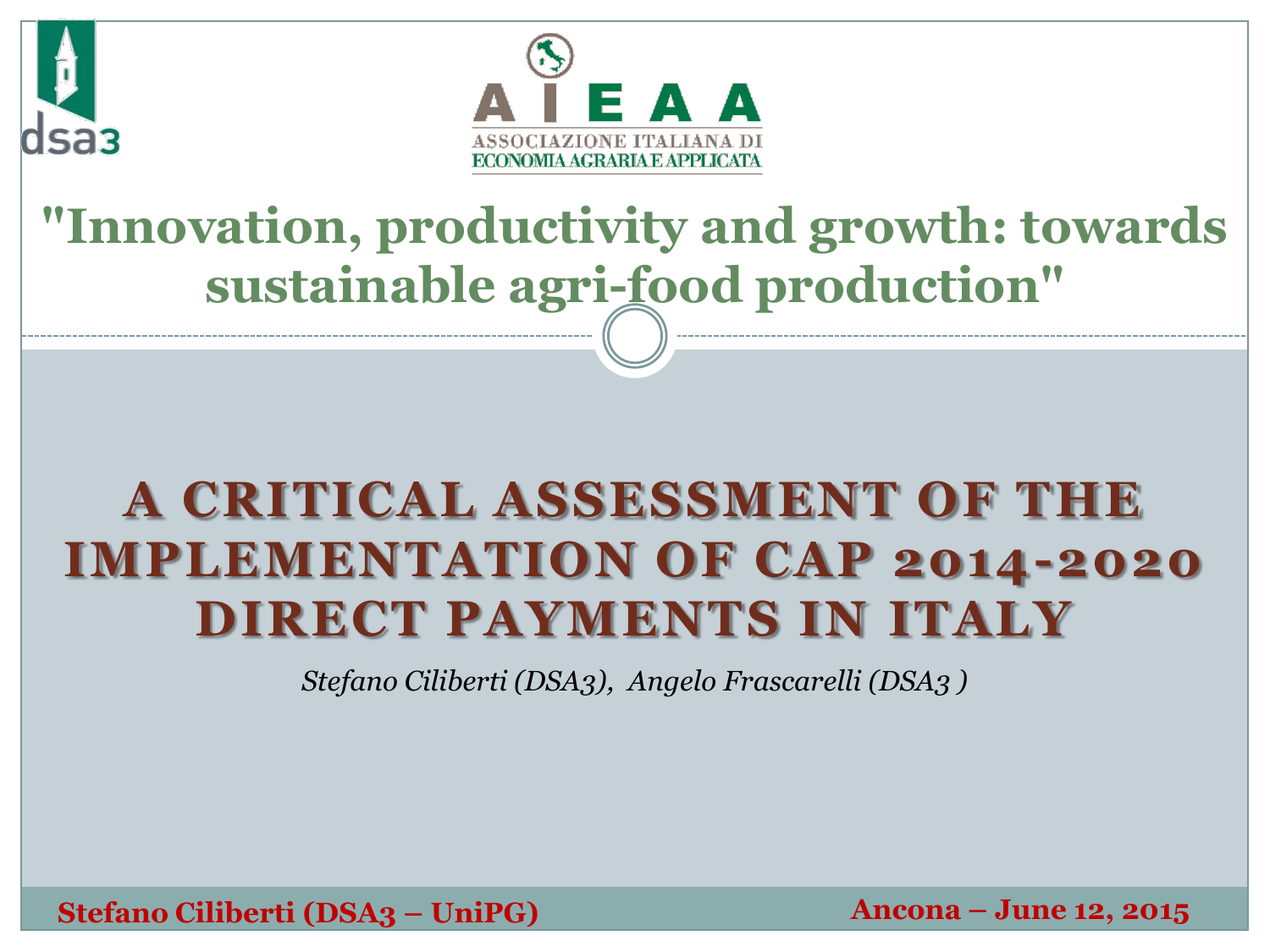



### **"Innovation, productivity and growth: towards sustainable agri-food production"**

### **A CRITICAL ASSESSMENT OF THE IMPLEMENTATION OF CAP 2014-2020 DIRECT PAYMENTS IN ITALY**

*Stefano Ciliberti (DSA3), Angelo Frascarelli (DSA3 )*

**Stefano Ciliberti (DSA3 – UniPG) Ancona – June 12, 2015**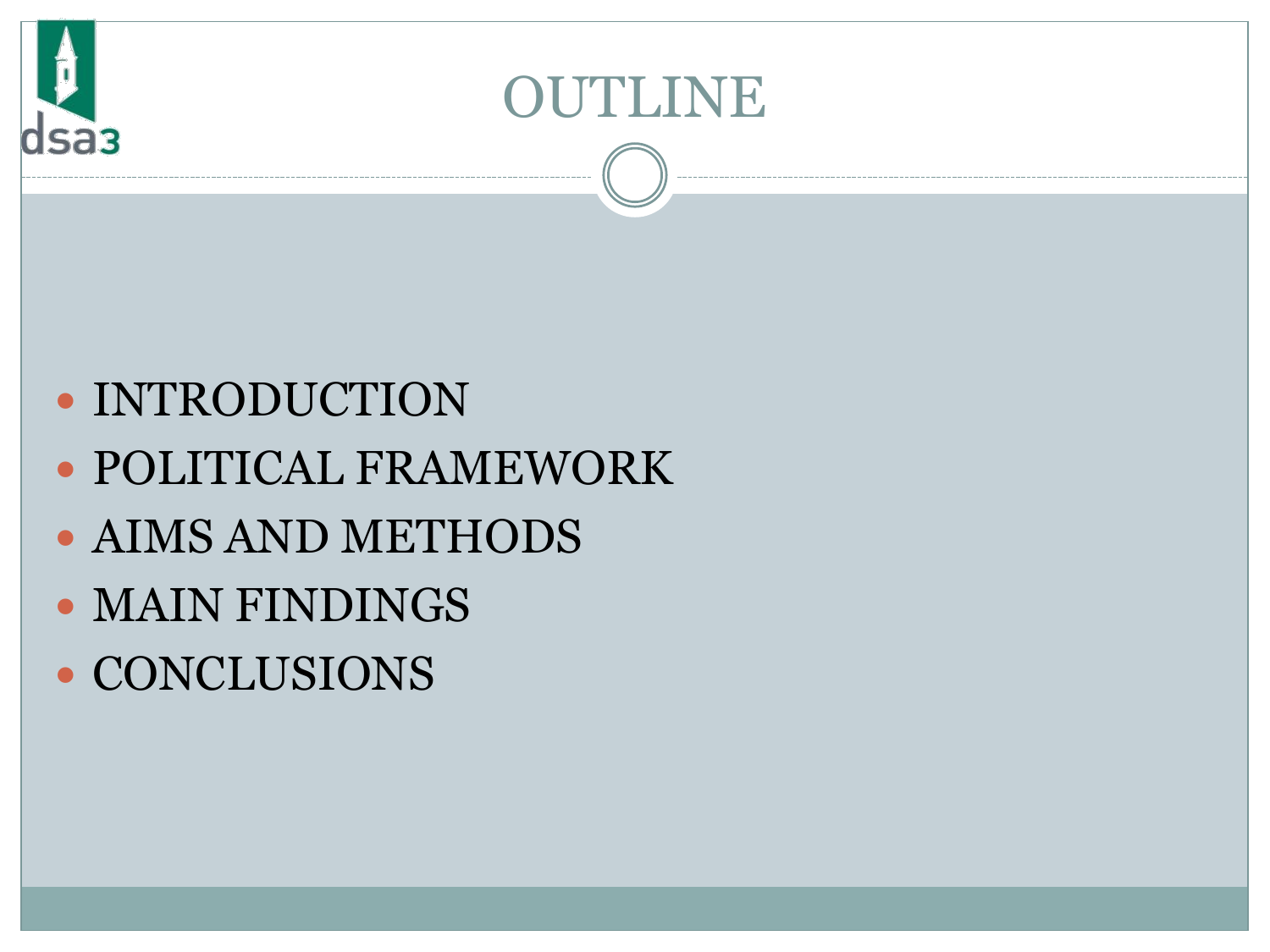

### OUTLINE

### • INTRODUCTION

- POLITICAL FRAMEWORK
- AIMS AND METHODS
- MAIN FINDINGS
- CONCLUSIONS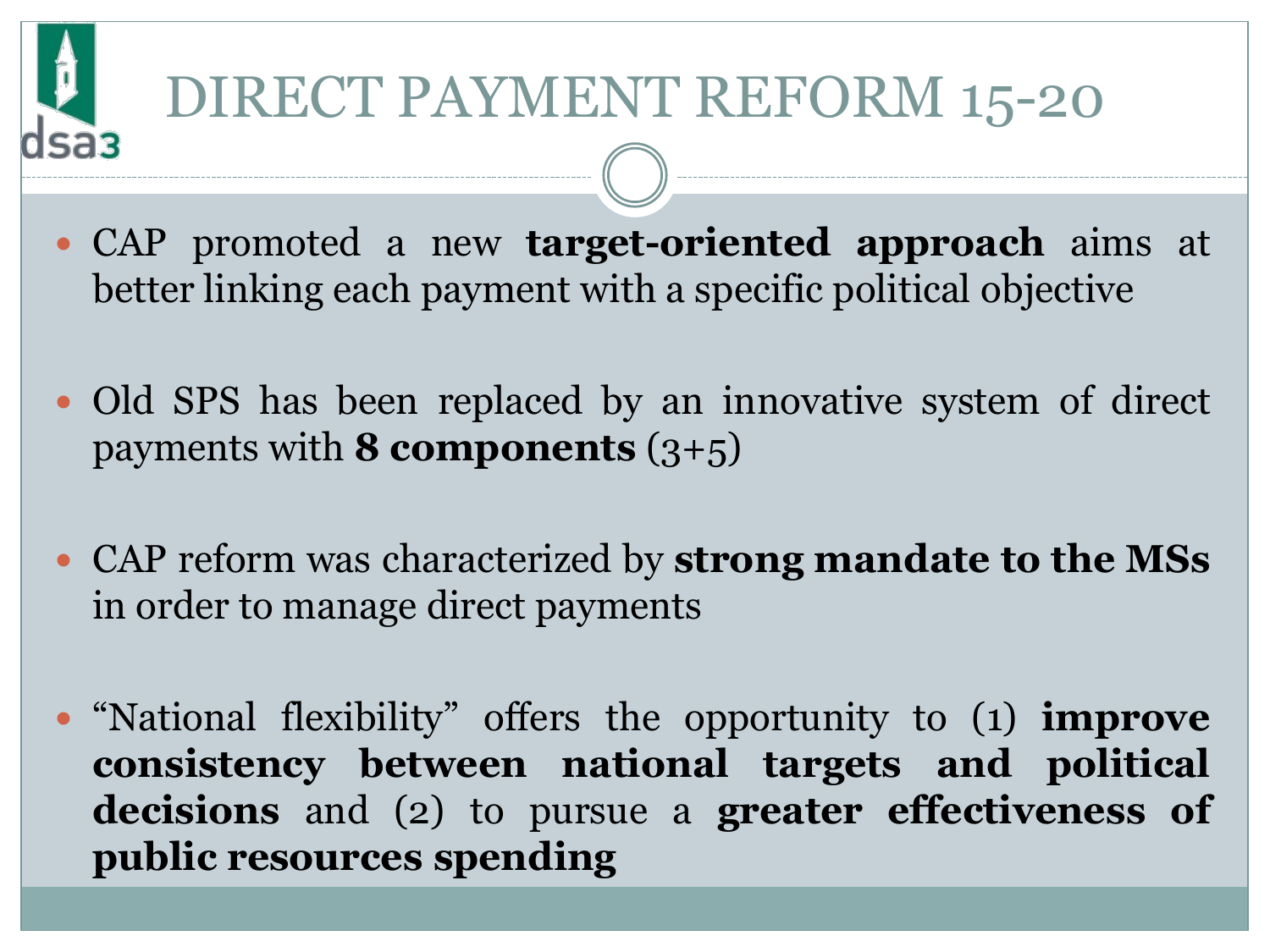# DIRECT PAYMENT REFORM 15-20

- CAP promoted a new **target-oriented approach** aims at better linking each payment with a specific political objective
- Old SPS has been replaced by an innovative system of direct payments with **8 components** (3+5)
- CAP reform was characterized by **strong mandate to the MSs** in order to manage direct payments
- "National flexibility" offers the opportunity to (1) **improve consistency between national targets and political decisions** and (2) to pursue a **greater effectiveness of public resources spending**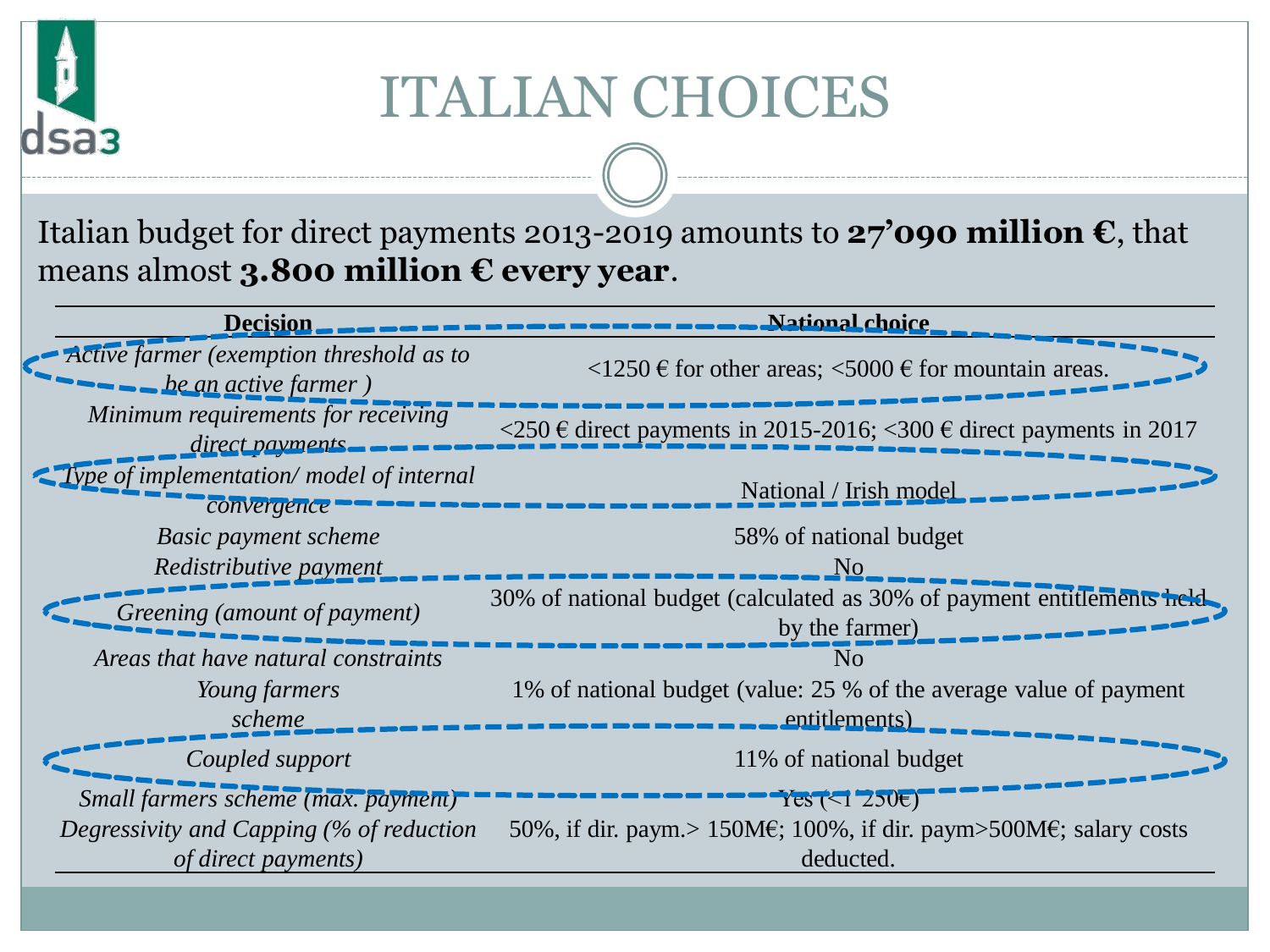### ITALIAN CHOICES

Italian budget for direct payments 2013-2019 amounts to **27'090 million €**, that means almost **3.800 million € every year**.

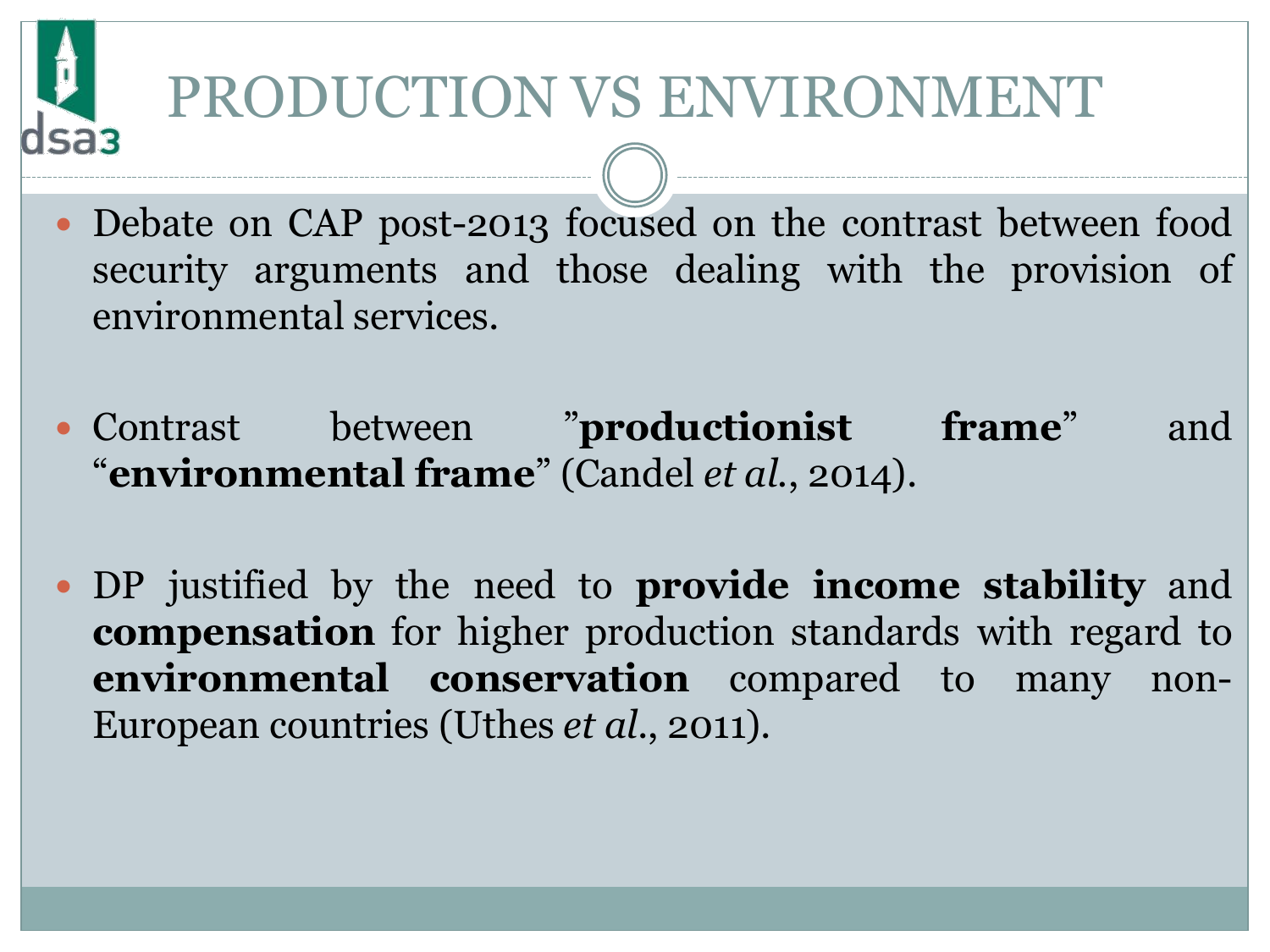# PRODUCTION VS ENVIRONMENT

- Debate on CAP post-2013 focused on the contrast between food security arguments and those dealing with the provision of environmental services.
- Contrast between "**productionist frame**" and "**environmental frame**" (Candel *et al.*, 2014).
- DP justified by the need to **provide income stability** and **compensation** for higher production standards with regard to **environmental conservation** compared to many non-European countries (Uthes *et al*., 2011).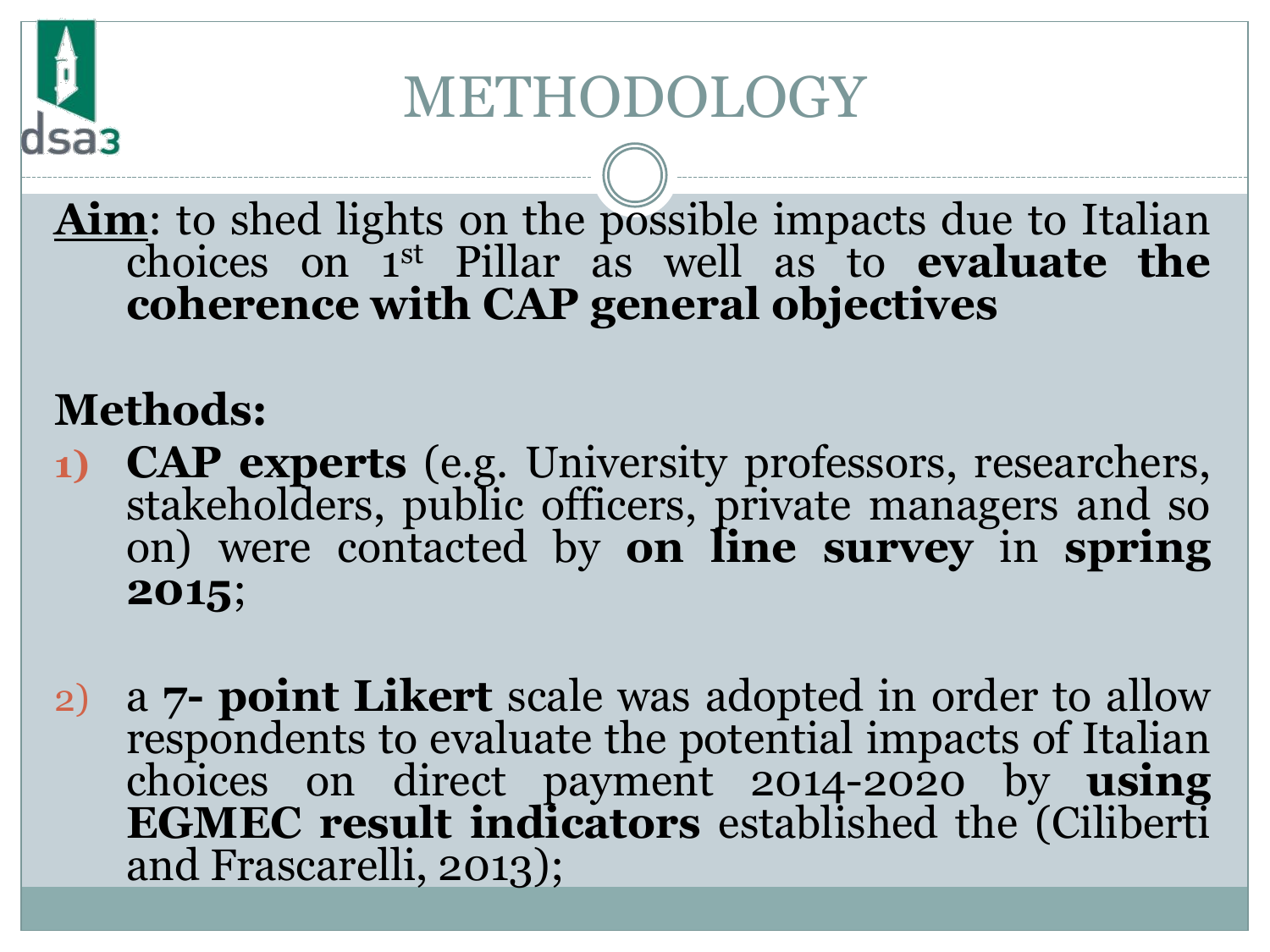## METHODOLOGY

**Aim**: to shed lights on the possible impacts due to Italian choices on 1 st Pillar as well as to **evaluate the coherence with CAP general objectives**

#### **Methods:**

- **1) CAP experts** (e.g. University professors, researchers, stakeholders, public officers, private managers and so on) were contacted by **on line survey** in **spring 2015**;
- 2) a **7- point Likert** scale was adopted in order to allow respondents to evaluate the potential impacts of Italian choices on direct payment 2014-2020 by **using EGMEC result indicators** established the (Ciliberti and Frascarelli, 2013);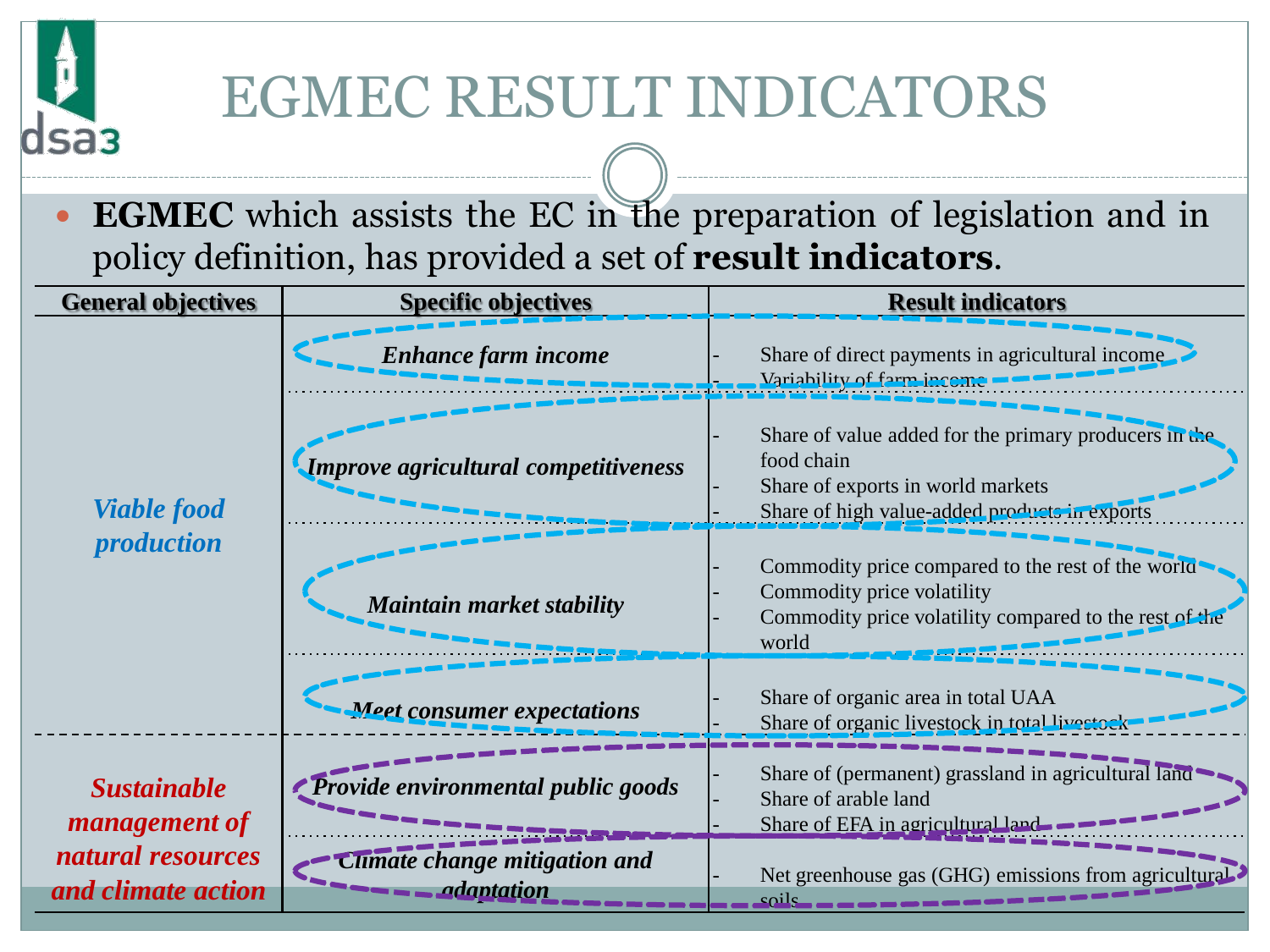# EGMEC RESULT INDICATORS

รลว

 **EGMEC** which assists the EC in the preparation of legislation and in policy definition, has provided a set of **result indicators**.

| <b>General objectives</b>                                                             | <b>Specific objectives</b>           | <b>Result indicators</b>                                                                                                                                           |
|---------------------------------------------------------------------------------------|--------------------------------------|--------------------------------------------------------------------------------------------------------------------------------------------------------------------|
| <b>Viable food</b><br><i>production</i>                                               | <b>Enhance farm income</b>           | Share of direct payments in agricultural income<br>Variability of farm income                                                                                      |
|                                                                                       | Improve agricultural competitiveness | Share of value added for the primary producers in $\mathbb{C}$<br>food chain<br>Share of exports in world markets<br>Share of high value-added products in exports |
|                                                                                       | <b>Maintain market stability</b>     | Commodity price compared to the rest of the world<br>Commodity price volatility<br>Commodity price volatility compared to the rest of the<br>world                 |
|                                                                                       | <b>Meet consumer expectations</b>    | Share of organic area in total UAA<br>Share of organic livestock in total livestock                                                                                |
| <b>Sustainable</b><br><i>management of</i><br>natural resources<br>and climate action | Provide environmental public goods   | Share of (permanent) grassland in agricultural land<br>Share of arable land<br>Share of EFA in agricultural land                                                   |
|                                                                                       | change mitigation and<br>adaptation  | Net greenhouse gas (GHG) emissions from agricultural<br>عصنام                                                                                                      |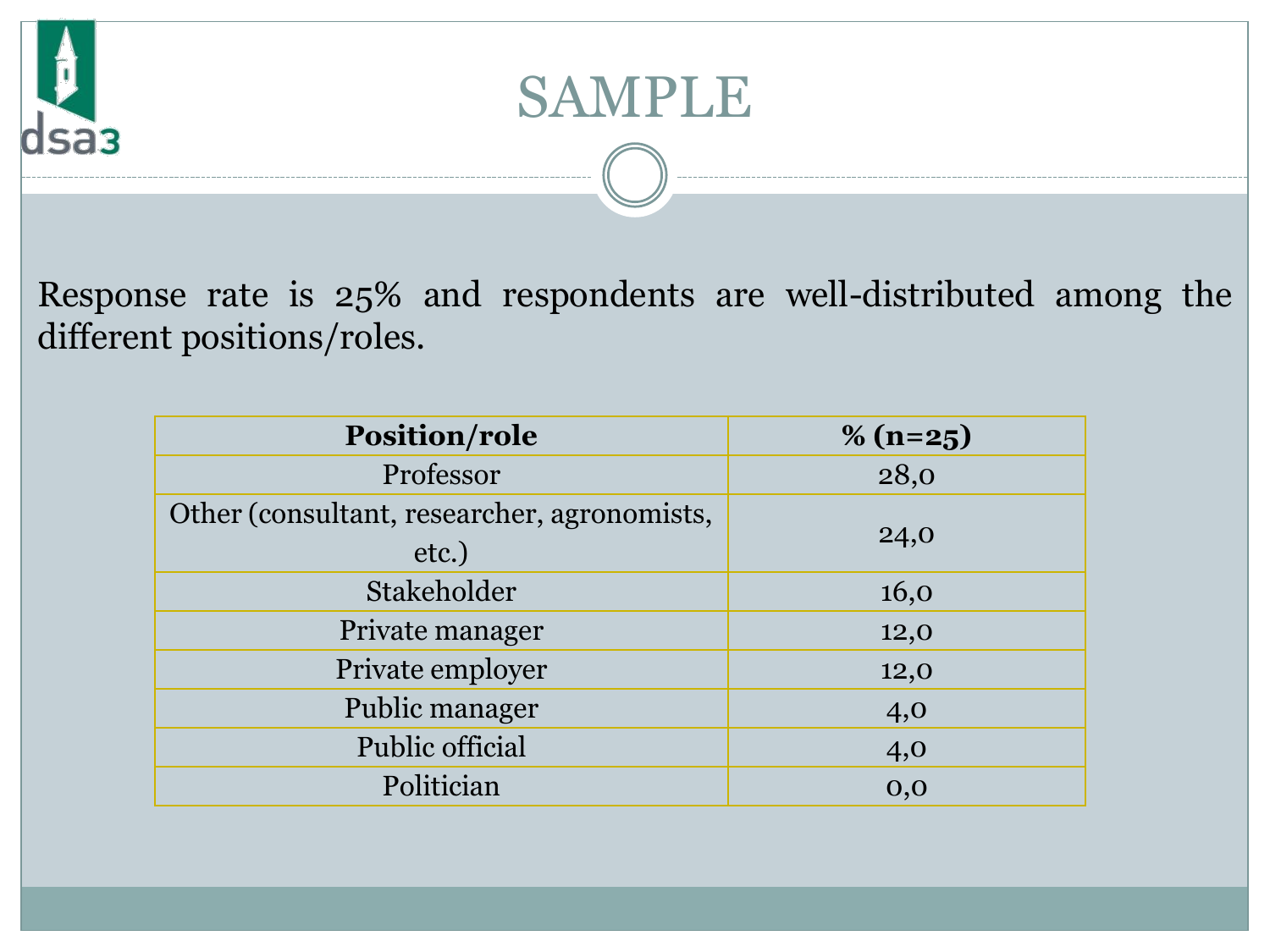



Response rate is 25% and respondents are well-distributed among the different positions/roles.

| <b>Position/role</b>                                 | $\%$ (n=25) |
|------------------------------------------------------|-------------|
| Professor                                            | 28,0        |
| Other (consultant, researcher, agronomists,<br>etc.) | 24,0        |
| Stakeholder                                          | 16,0        |
| Private manager                                      | 12,0        |
| Private employer                                     | 12,0        |
| Public manager                                       | 4,0         |
| Public official                                      | 4,0         |
| Politician                                           | 0,0         |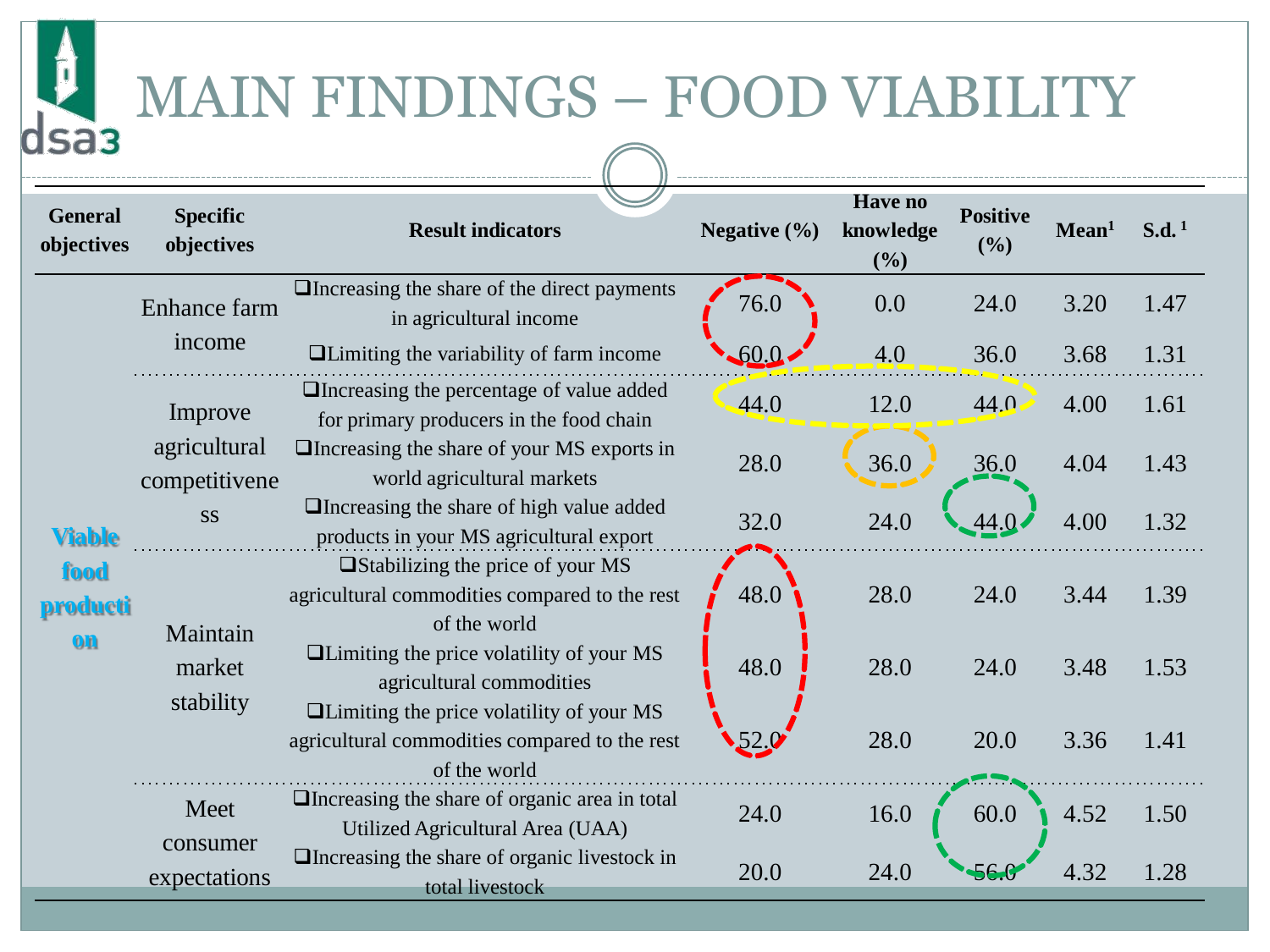## MAIN FINDINGS – FOOD VIABILITY

 $\mathbf{I}$ 

dsa<sub>3</sub>

| <b>General</b><br>objectives                    | <b>Specific</b><br>objectives   | <b>Result indicators</b>                                                                                         | Negative $(\% )$ | <b>Have no</b><br>knowledge<br>(%) | <b>Positive</b><br>(%) | Mean <sup>1</sup> | $S.d.$ <sup>1</sup> |
|-------------------------------------------------|---------------------------------|------------------------------------------------------------------------------------------------------------------|------------------|------------------------------------|------------------------|-------------------|---------------------|
| <b>Viable</b><br>food<br><b>producti</b><br>$0$ | Enhance farm<br>income          | $\Box$ Increasing the share of the direct payments<br>in agricultural income                                     | 76.0             | 0.0                                | 24.0                   | 3.20              | 1.47                |
|                                                 |                                 | $\Box$ Limiting the variability of farm income                                                                   | -60.0            | 4.0                                | 36.0                   | 3.68              | 1.31                |
|                                                 | Improve                         | □Increasing the percentage of value added<br>for primary producers in the food chain                             | 44.0             | 12.0                               | 44.0                   | 4.00              | 1.61                |
|                                                 | agricultural<br>competitivene   | $\Box$ Increasing the share of your MS exports in<br>world agricultural markets                                  | 28.0             | 36.0                               | 36.0                   | 4.04              | 1.43                |
|                                                 | <b>SS</b>                       | $\Box$ Increasing the share of high value added<br>products in your MS agricultural export                       | 32.0             | 24.0                               | 44.0                   | 4.00              | 1.32                |
|                                                 | Maintain<br>market<br>stability | □ Stabilizing the price of your MS<br>agricultural commodities compared to the rest<br>of the world              | 48.0             | 28.0                               | 24.0                   | 3.44              | 1.39                |
|                                                 |                                 | <b>Quality</b> of your MS<br>agricultural commodities                                                            | 48.0             | 28.0                               | 24.0                   | 3.48              | 1.53                |
|                                                 |                                 | $\Box$ Limiting the price volatility of your MS<br>agricultural commodities compared to the rest<br>of the world |                  | 28.0                               | 20.0                   | 3.36              | 1.41                |
|                                                 | Meet                            | $\Box$ Increasing the share of organic area in total<br>Utilized Agricultural Area (UAA)                         | 24.0             | 16.0                               | 60.0                   | 4.52              | 1.50                |
|                                                 | consumer<br>expectations        | $\Box$ Increasing the share of organic livestock in<br>total livestock                                           | 20.0             | 24.0                               | 56.0                   | 4.32              | 1.28                |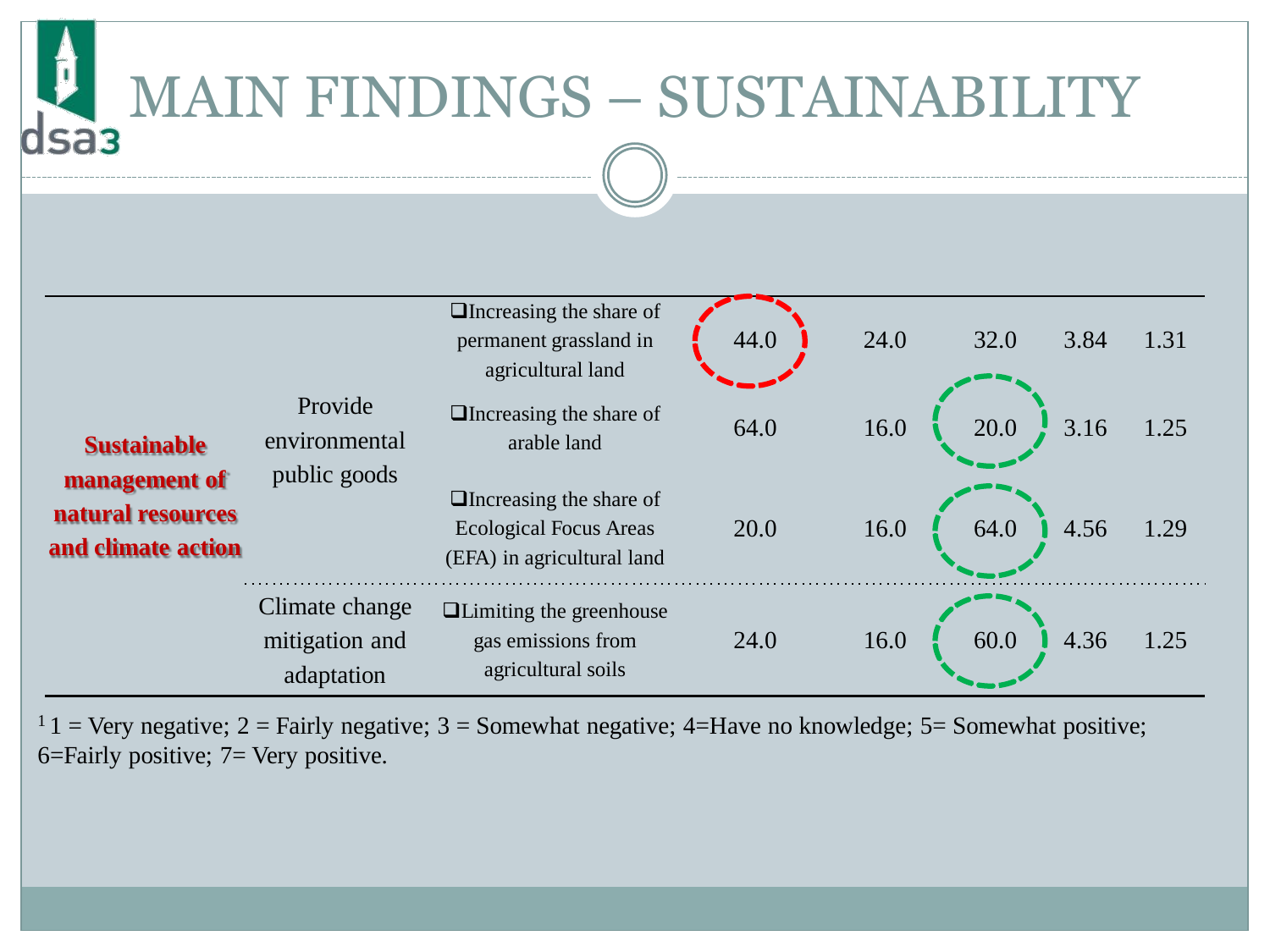# MAIN FINDINGS – SUSTAINABILITY

| <b>Sustainable</b><br>management of<br>natural resources<br>and climate action | Provide<br>environmental<br>public goods       | $\Box$ Increasing the share of<br>permanent grassland in<br>agricultural land                 | 44.0 | 24.0 | 32.0<br>3.84 | 1.31 |
|--------------------------------------------------------------------------------|------------------------------------------------|-----------------------------------------------------------------------------------------------|------|------|--------------|------|
|                                                                                |                                                | $\Box$ Increasing the share of<br>arable land                                                 | 64.0 | 16.0 | 3.16<br>20.0 | 1.25 |
|                                                                                |                                                | $\Box$ Increasing the share of<br><b>Ecological Focus Areas</b><br>(EFA) in agricultural land | 20.0 | 16.0 | 4.56<br>64.0 | 1.29 |
|                                                                                | Climate change<br>mitigation and<br>adaptation | <b>Quality</b> Limiting the greenhouse<br>gas emissions from<br>agricultural soils            | 24.0 | 16.0 | 60.0<br>4.36 | 1.25 |

 $1 \text{ } 1$  = Very negative; 2 = Fairly negative; 3 = Somewhat negative; 4=Have no knowledge; 5 = Somewhat positive; 6=Fairly positive; 7= Very positive.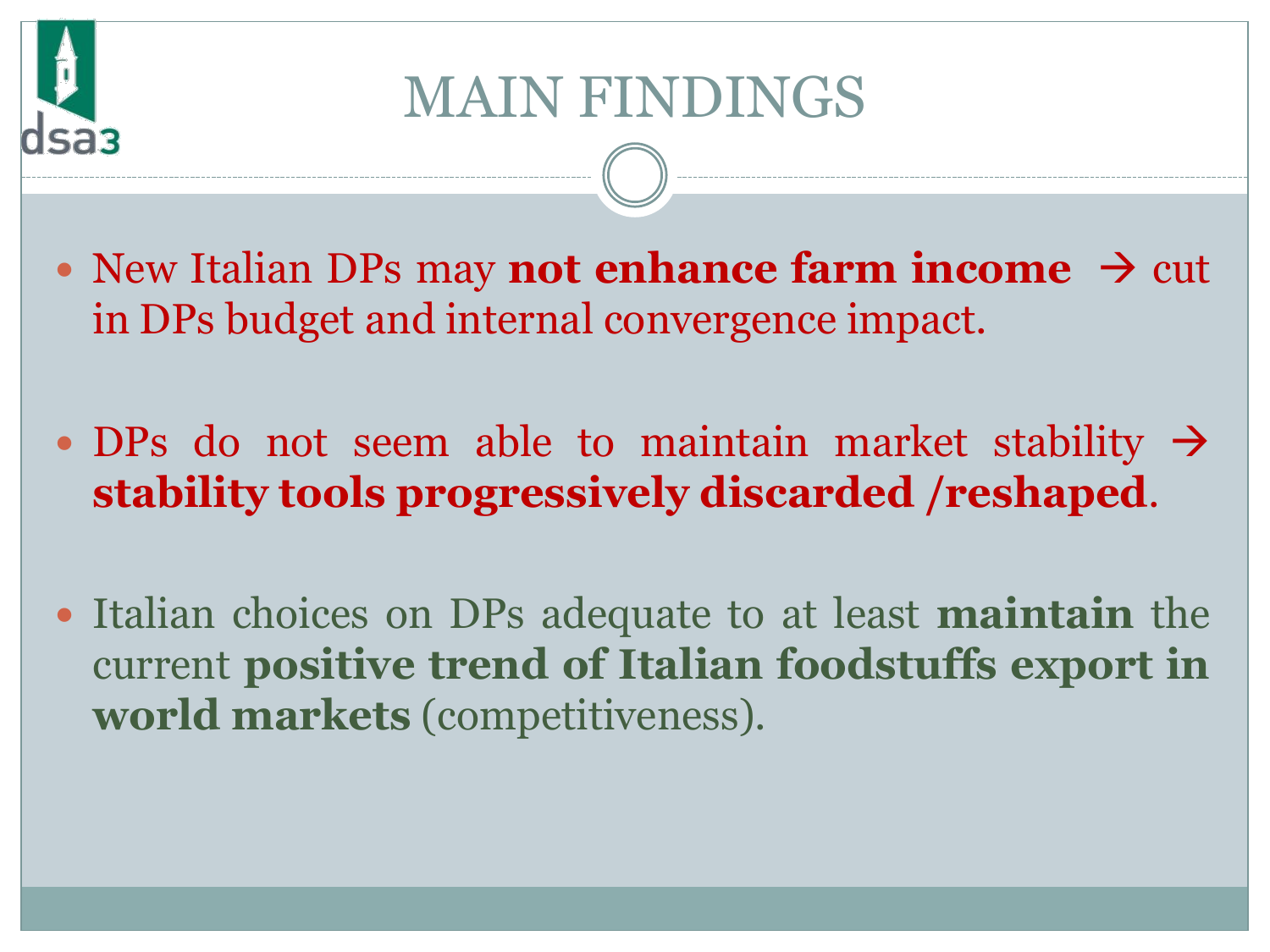

### MAIN FINDINGS

- New Italian DPs may **not enhance farm income**  $\rightarrow$  cut in DPs budget and internal convergence impact.
- $\bullet$  DPs do not seem able to maintain market stability  $\rightarrow$ **stability tools progressively discarded /reshaped**.
- Italian choices on DPs adequate to at least **maintain** the current **positive trend of Italian foodstuffs export in world markets** (competitiveness).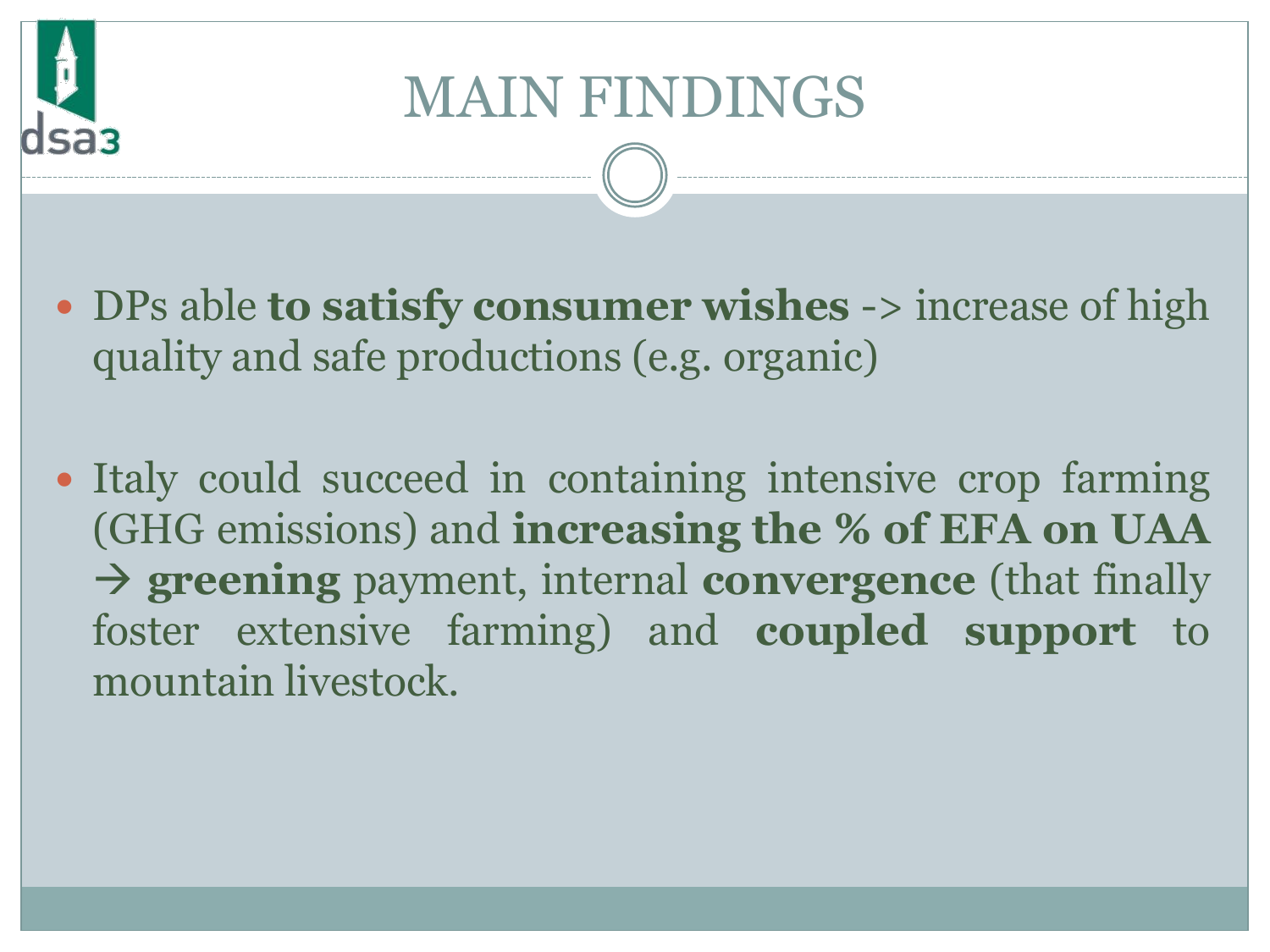## MAIN FINDINGS

- DPs able **to satisfy consumer wishes** -> increase of high quality and safe productions (e.g. organic)
- Italy could succeed in containing intensive crop farming (GHG emissions) and **increasing the % of EFA on UAA greening** payment, internal **convergence** (that finally foster extensive farming) and **coupled support** to mountain livestock.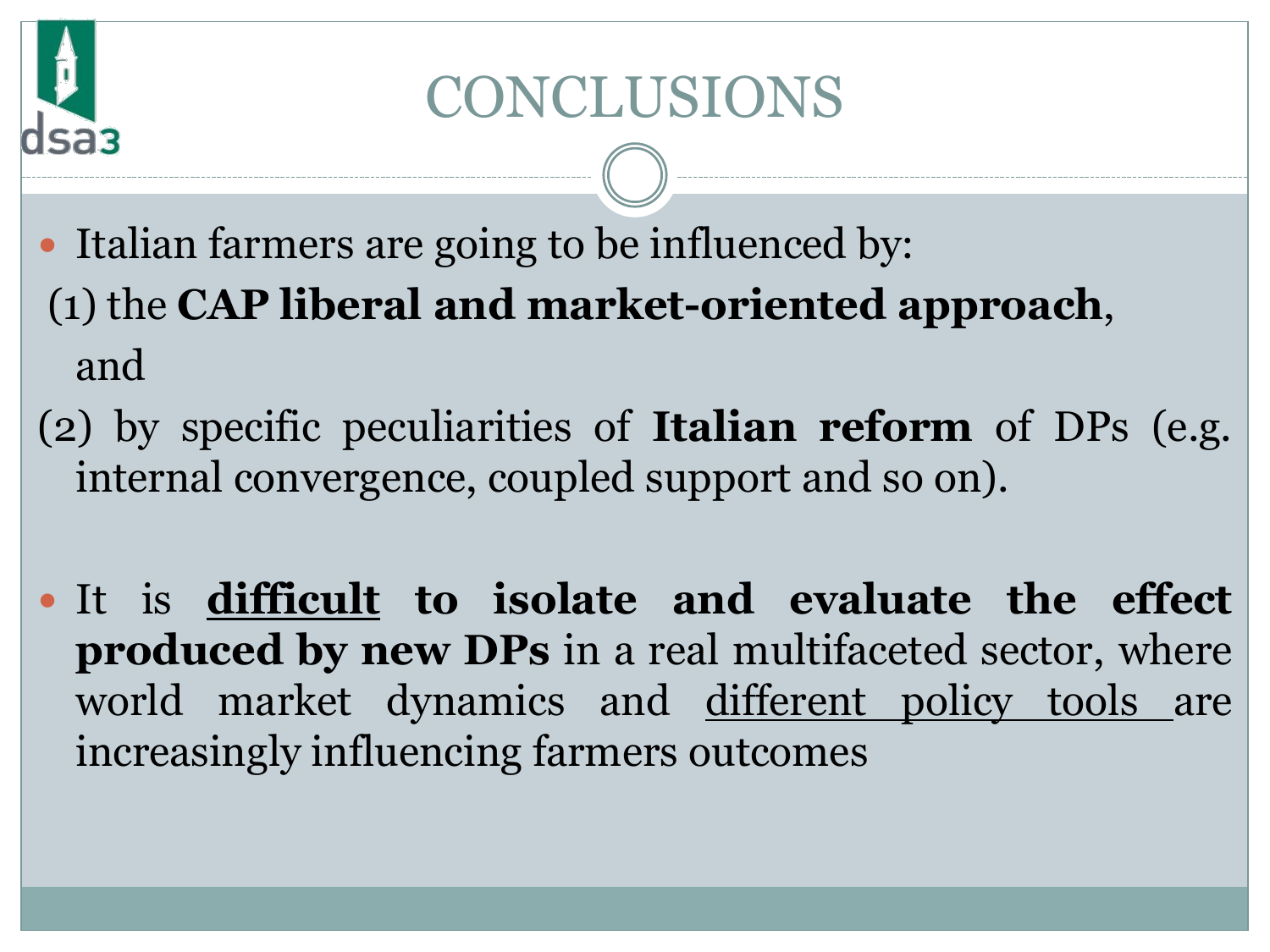## CONCLUSIONS

- Italian farmers are going to be influenced by: (1) the **CAP liberal and market-oriented approach**, and
- (2) by specific peculiarities of **Italian reform** of DPs (e.g. internal convergence, coupled support and so on).
- It is **difficult to isolate and evaluate the effect produced by new DPs** in a real multifaceted sector, where world market dynamics and different policy tools are increasingly influencing farmers outcomes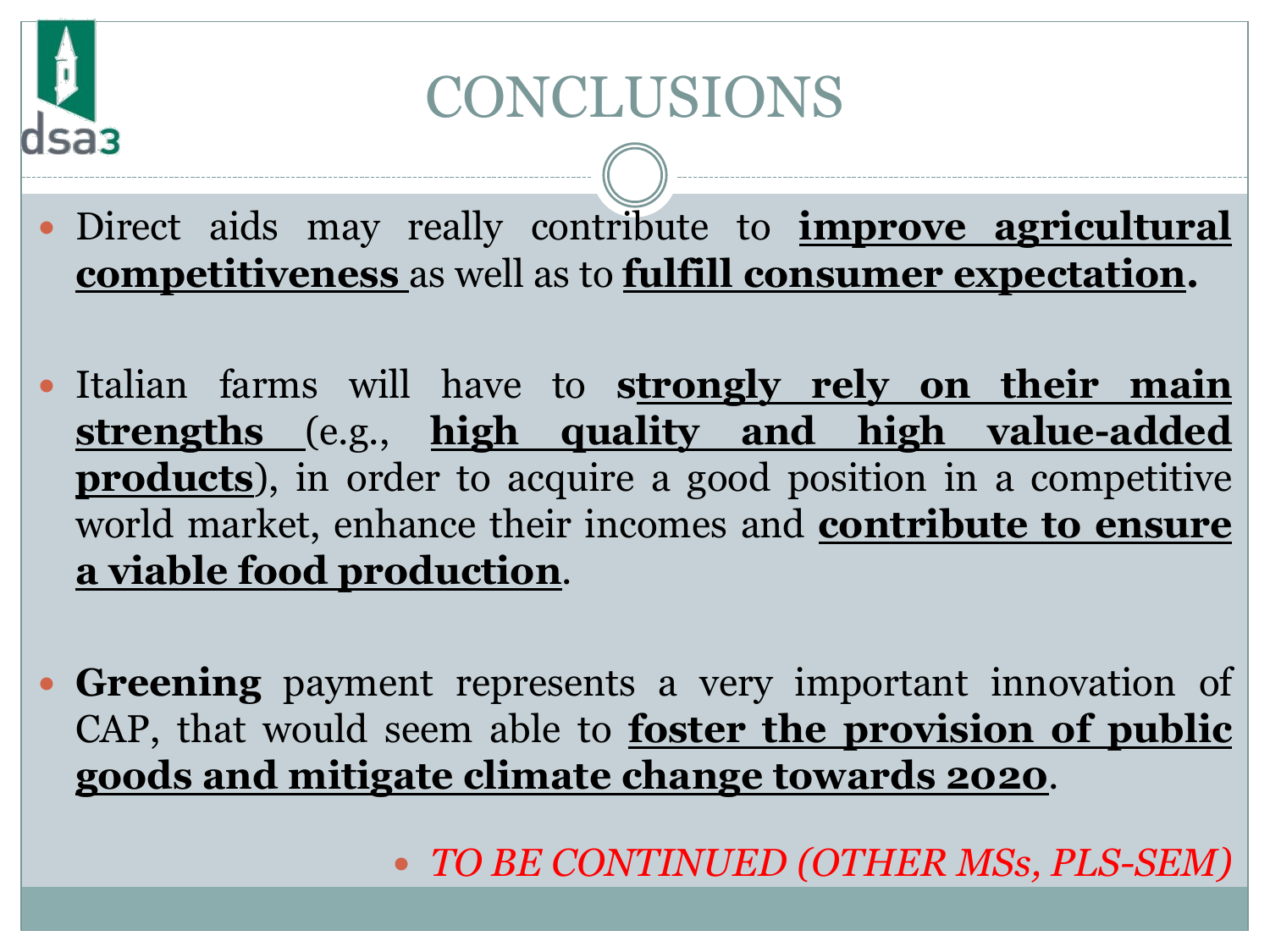## CONCLUSIONS

 Direct aids may really contribute to **improve agricultural competitiveness** as well as to **fulfill consumer expectation.**

- Italian farms will have to **strongly rely on their main strengths** (e.g., **high quality and high value-added products**), in order to acquire a good position in a competitive world market, enhance their incomes and **contribute to ensure a viable food production**.
- **Greening** payment represents a very important innovation of CAP, that would seem able to **foster the provision of public goods and mitigate climate change towards 2020**.

*TO BE CONTINUED (OTHER MSs, PLS-SEM)*